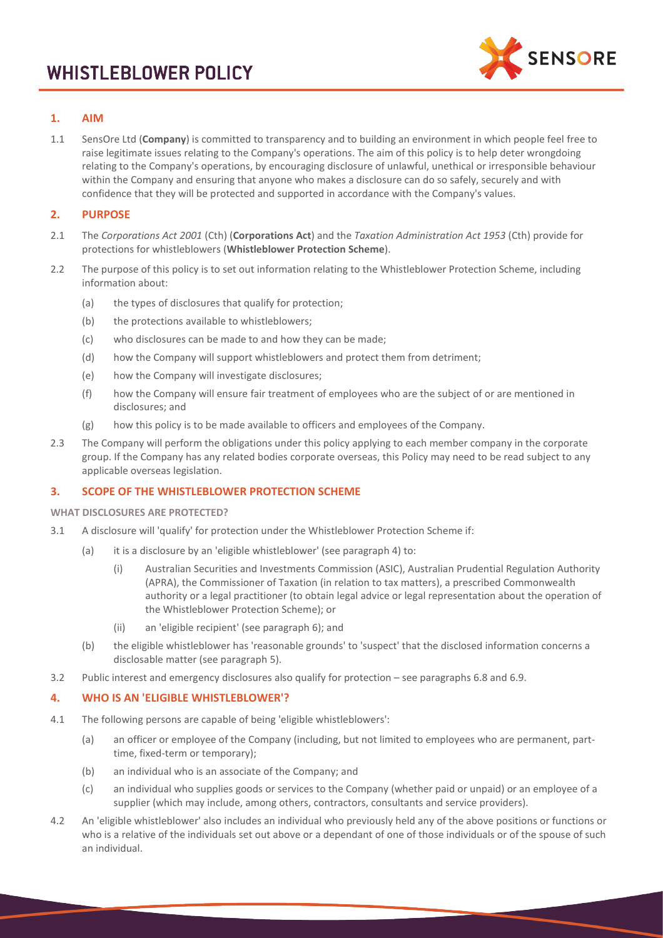

# **1. AIM**

1.1 SensOre Ltd (**Company**) is committed to transparency and to building an environment in which people feel free to raise legitimate issues relating to the Company's operations. The aim of this policy is to help deter wrongdoing relating to the Company's operations, by encouraging disclosure of unlawful, unethical or irresponsible behaviour within the Company and ensuring that anyone who makes a disclosure can do so safely, securely and with confidence that they will be protected and supported in accordance with the Company's values.

## **2. PURPOSE**

- 2.1 The *Corporations Act 2001* (Cth) (**Corporations Act**) and the *Taxation Administration Act 1953* (Cth) provide for protections for whistleblowers (**Whistleblower Protection Scheme**).
- 2.2 The purpose of this policy is to set out information relating to the Whistleblower Protection Scheme, including information about:
	- (a) the types of disclosures that qualify for protection;
	- (b) the protections available to whistleblowers;
	- (c) who disclosures can be made to and how they can be made;
	- (d) how the Company will support whistleblowers and protect them from detriment;
	- (e) how the Company will investigate disclosures;
	- (f) how the Company will ensure fair treatment of employees who are the subject of or are mentioned in disclosures; and
	- (g) how this policy is to be made available to officers and employees of the Company.
- 2.3 The Company will perform the obligations under this policy applying to each member company in the corporate group. If the Company has any related bodies corporate overseas, this Policy may need to be read subject to any applicable overseas legislation.

## **3. SCOPE OF THE WHISTLEBLOWER PROTECTION SCHEME**

**WHAT DISCLOSURES ARE PROTECTED?** 

- 3.1 A disclosure will 'qualify' for protection under the Whistleblower Protection Scheme if:
	- (a) it is a disclosure by an 'eligible whistleblower' (see paragraph [4\)](#page-0-0) to:
		- (i) Australian Securities and Investments Commission (ASIC), Australian Prudential Regulation Authority (APRA), the Commissioner of Taxation (in relation to tax matters), a prescribed Commonwealth authority or a legal practitioner (to obtain legal advice or legal representation about the operation of the Whistleblower Protection Scheme); or
		- (ii) an 'eligible recipient' (see paragraph [6\)](#page-2-0); and
	- (b) the eligible whistleblower has 'reasonable grounds' to 'suspect' that the disclosed information concerns a disclosable matter (see paragraph [5\)](#page-1-0).
- 3.2 Public interest and emergency disclosures also qualify for protection see paragraphs [6.8](#page-3-0) an[d 6.9.](#page-3-1)

## <span id="page-0-0"></span>**4. WHO IS AN 'ELIGIBLE WHISTLEBLOWER'?**

- 4.1 The following persons are capable of being 'eligible whistleblowers':
	- (a) an officer or employee of the Company (including, but not limited to employees who are permanent, parttime, fixed-term or temporary);
	- (b) an individual who is an associate of the Company; and
	- (c) an individual who supplies goods or services to the Company (whether paid or unpaid) or an employee of a supplier (which may include, among others, contractors, consultants and service providers).
- 4.2 An 'eligible whistleblower' also includes an individual who previously held any of the above positions or functions or who is a relative of the individuals set out above or a dependant of one of those individuals or of the spouse of such an individual.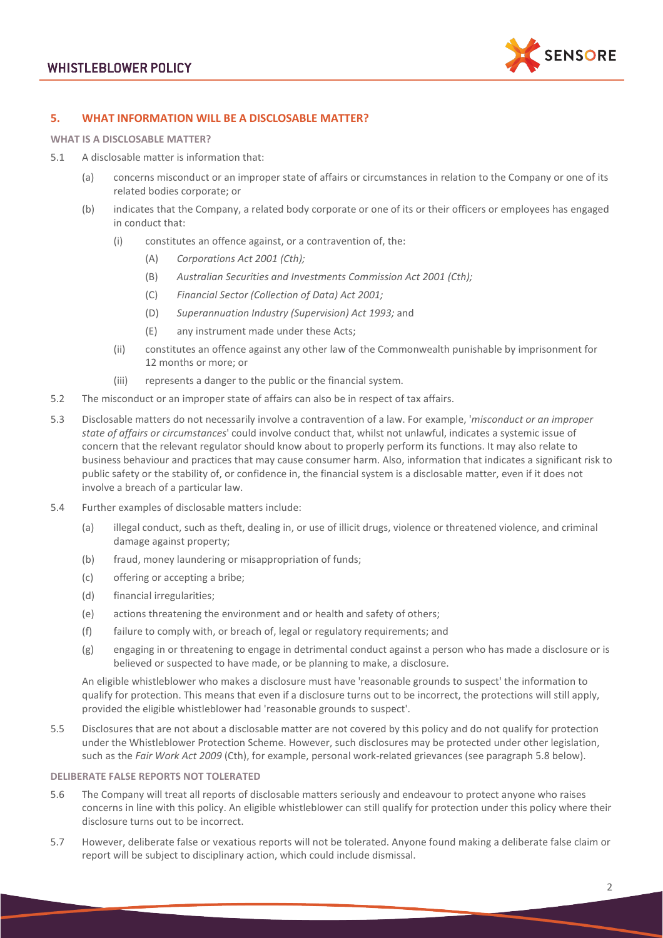

# <span id="page-1-0"></span>**5. WHAT INFORMATION WILL BE A DISCLOSABLE MATTER?**

**WHAT IS A DISCLOSABLE MATTER?**

- <span id="page-1-1"></span>5.1 A disclosable matter is information that:
	- (a) concerns misconduct or an improper state of affairs or circumstances in relation to the Company or one of its related bodies corporate; or
	- (b) indicates that the Company, a related body corporate or one of its or their officers or employees has engaged in conduct that:
		- (i) constitutes an offence against, or a contravention of, the:
			- (A) *Corporations Act 2001 (Cth);*
			- (B) *Australian Securities and Investments Commission Act 2001 (Cth);*
			- (C) *Financial Sector (Collection of Data) Act 2001;*
			- (D) *Superannuation Industry (Supervision) Act 1993;* and
			- (E) any instrument made under these Acts;
		- (ii) constitutes an offence against any other law of the Commonwealth punishable by imprisonment for 12 months or more; or
		- (iii) represents a danger to the public or the financial system.
- <span id="page-1-3"></span><span id="page-1-2"></span>5.2 The misconduct or an improper state of affairs can also be in respect of tax affairs.
- 5.3 Disclosable matters do not necessarily involve a contravention of a law. For example, '*misconduct or an improper state of affairs or circumstances*' could involve conduct that, whilst not unlawful, indicates a systemic issue of concern that the relevant regulator should know about to properly perform its functions. It may also relate to business behaviour and practices that may cause consumer harm. Also, information that indicates a significant risk to public safety or the stability of, or confidence in, the financial system is a disclosable matter, even if it does not involve a breach of a particular law.
- 5.4 Further examples of disclosable matters include:
	- (a) illegal conduct, such as theft, dealing in, or use of illicit drugs, violence or threatened violence, and criminal damage against property;
	- (b) fraud, money laundering or misappropriation of funds;
	- (c) offering or accepting a bribe;
	- (d) financial irregularities;
	- (e) actions threatening the environment and or health and safety of others;
	- (f) failure to comply with, or breach of, legal or regulatory requirements; and
	- (g) engaging in or threatening to engage in detrimental conduct against a person who has made a disclosure or is believed or suspected to have made, or be planning to make, a disclosure.

An eligible whistleblower who makes a disclosure must have 'reasonable grounds to suspect' the information to qualify for protection. This means that even if a disclosure turns out to be incorrect, the protections will still apply, provided the eligible whistleblower had 'reasonable grounds to suspect'.

5.5 Disclosures that are not about a disclosable matter are not covered by this policy and do not qualify for protection under the Whistleblower Protection Scheme. However, such disclosures may be protected under other legislation, such as the *Fair Work Act 2009* (Cth), for example, personal work-related grievances (see paragrap[h 5.8](#page-2-1) below).

### **DELIBERATE FALSE REPORTS NOT TOLERATED**

- 5.6 The Company will treat all reports of disclosable matters seriously and endeavour to protect anyone who raises concerns in line with this policy. An eligible whistleblower can still qualify for protection under this policy where their disclosure turns out to be incorrect.
- 5.7 However, deliberate false or vexatious reports will not be tolerated. Anyone found making a deliberate false claim or report will be subject to disciplinary action, which could include dismissal.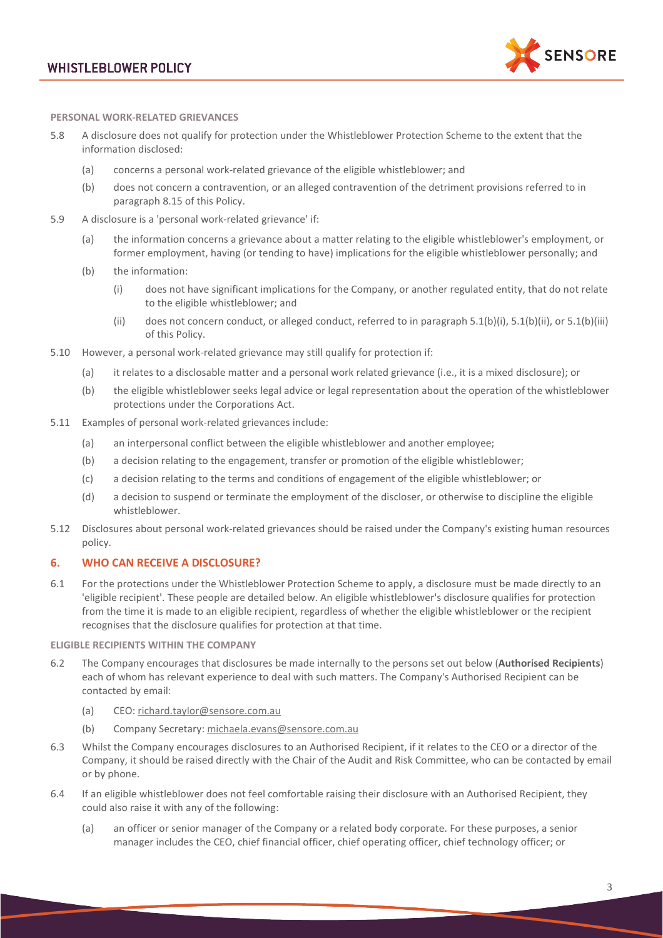# **WHISTLEBLOWER POLICY**



#### **PERSONAL WORK-RELATED GRIEVANCES**

- <span id="page-2-1"></span>5.8 A disclosure does not qualify for protection under the Whistleblower Protection Scheme to the extent that the information disclosed:
	- (a) concerns a personal work-related grievance of the eligible whistleblower; and
	- (b) does not concern a contravention, or an alleged contravention of the detriment provisions referred to in paragraph [8.15](#page-5-0) of this Policy.
- 5.9 A disclosure is a 'personal work-related grievance' if:
	- (a) the information concerns a grievance about a matter relating to the eligible whistleblower's employment, or former employment, having (or tending to have) implications for the eligible whistleblower personally; and
	- (b) the information:
		- (i) does not have significant implications for the Company, or another regulated entity, that do not relate to the eligible whistleblower; and
		- (ii) does not concern conduct, or alleged conduct, referred to in paragraph  $5.1(b)(i)$ ,  $5.1(b)(ii)$ , or  $5.1(b)(iii)$ of this Policy.
- 5.10 However, a personal work-related grievance may still qualify for protection if:
	- (a) it relates to a disclosable matter and a personal work related grievance (i.e., it is a mixed disclosure); or
	- (b) the eligible whistleblower seeks legal advice or legal representation about the operation of the whistleblower protections under the Corporations Act.
- 5.11 Examples of personal work-related grievances include:
	- (a) an interpersonal conflict between the eligible whistleblower and another employee;
	- (b) a decision relating to the engagement, transfer or promotion of the eligible whistleblower;
	- (c) a decision relating to the terms and conditions of engagement of the eligible whistleblower; or
	- (d) a decision to suspend or terminate the employment of the discloser, or otherwise to discipline the eligible whistleblower.
- 5.12 Disclosures about personal work-related grievances should be raised under the Company's existing human resources policy.

## <span id="page-2-0"></span>**6. WHO CAN RECEIVE A DISCLOSURE?**

6.1 For the protections under the Whistleblower Protection Scheme to apply, a disclosure must be made directly to an 'eligible recipient'. These people are detailed below. An eligible whistleblower's disclosure qualifies for protection from the time it is made to an eligible recipient, regardless of whether the eligible whistleblower or the recipient recognises that the disclosure qualifies for protection at that time.

#### **ELIGIBLE RECIPIENTS WITHIN THE COMPANY**

- 6.2 The Company encourages that disclosures be made internally to the persons set out below (**Authorised Recipients**) each of whom has relevant experience to deal with such matters. The Company's Authorised Recipient can be contacted by email:
	- (a) CEO: [richard.taylor@sensore.com.au](mailto:richard.taylor@sensore.com.au)
	- (b) Company Secretary: [michaela.evans@sensore.com.au](mailto:michaela.evans@sensore.com.au)
- 6.3 Whilst the Company encourages disclosures to an Authorised Recipient, if it relates to the CEO or a director of the Company, it should be raised directly with the Chair of the Audit and Risk Committee, who can be contacted by email or by phone.
- 6.4 If an eligible whistleblower does not feel comfortable raising their disclosure with an Authorised Recipient, they could also raise it with any of the following:
	- (a) an officer or senior manager of the Company or a related body corporate. For these purposes, a senior manager includes the CEO, chief financial officer, chief operating officer, chief technology officer; or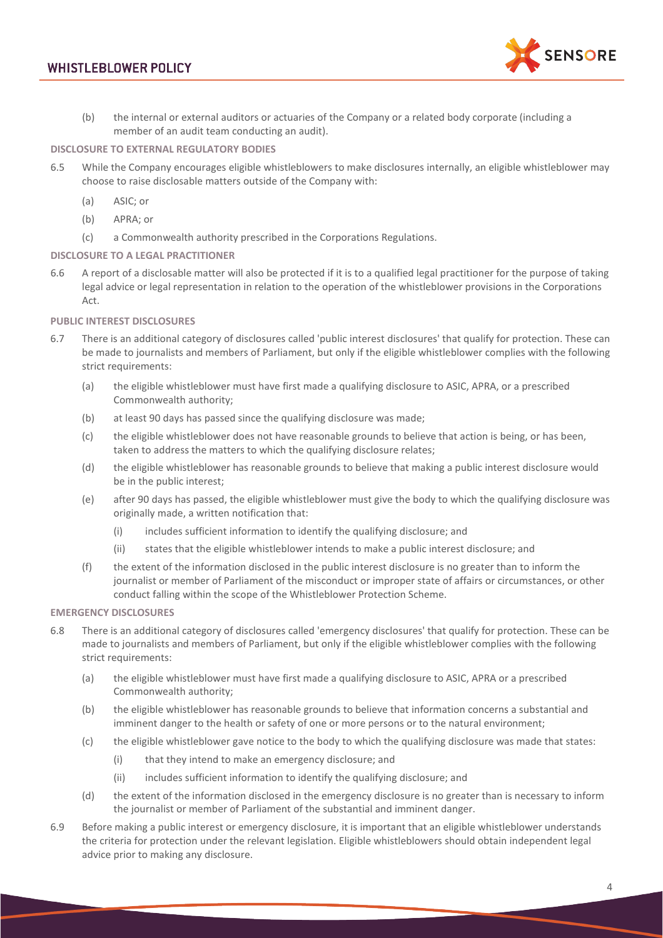# **WHISTLEBLOWER POLICY**



(b) the internal or external auditors or actuaries of the Company or a related body corporate (including a member of an audit team conducting an audit).

## **DISCLOSURE TO EXTERNAL REGULATORY BODIES**

- 6.5 While the Company encourages eligible whistleblowers to make disclosures internally, an eligible whistleblower may choose to raise disclosable matters outside of the Company with:
	- (a) ASIC; or
	- (b) APRA; or
	- (c) a Commonwealth authority prescribed in the Corporations Regulations.

## **DISCLOSURE TO A LEGAL PRACTITIONER**

6.6 A report of a disclosable matter will also be protected if it is to a qualified legal practitioner for the purpose of taking legal advice or legal representation in relation to the operation of the whistleblower provisions in the Corporations Act.

## **PUBLIC INTEREST DISCLOSURES**

- <span id="page-3-0"></span>6.7 There is an additional category of disclosures called 'public interest disclosures' that qualify for protection. These can be made to journalists and members of Parliament, but only if the eligible whistleblower complies with the following strict requirements:
	- (a) the eligible whistleblower must have first made a qualifying disclosure to ASIC, APRA, or a prescribed Commonwealth authority;
	- (b) at least 90 days has passed since the qualifying disclosure was made;
	- (c) the eligible whistleblower does not have reasonable grounds to believe that action is being, or has been, taken to address the matters to which the qualifying disclosure relates;
	- (d) the eligible whistleblower has reasonable grounds to believe that making a public interest disclosure would be in the public interest;
	- (e) after 90 days has passed, the eligible whistleblower must give the body to which the qualifying disclosure was originally made, a written notification that:
		- (i) includes sufficient information to identify the qualifying disclosure; and
		- (ii) states that the eligible whistleblower intends to make a public interest disclosure; and
	- (f) the extent of the information disclosed in the public interest disclosure is no greater than to inform the journalist or member of Parliament of the misconduct or improper state of affairs or circumstances, or other conduct falling within the scope of the Whistleblower Protection Scheme.

## **EMERGENCY DISCLOSURES**

- <span id="page-3-1"></span>6.8 There is an additional category of disclosures called 'emergency disclosures' that qualify for protection. These can be made to journalists and members of Parliament, but only if the eligible whistleblower complies with the following strict requirements:
	- (a) the eligible whistleblower must have first made a qualifying disclosure to ASIC, APRA or a prescribed Commonwealth authority;
	- (b) the eligible whistleblower has reasonable grounds to believe that information concerns a substantial and imminent danger to the health or safety of one or more persons or to the natural environment;
	- (c) the eligible whistleblower gave notice to the body to which the qualifying disclosure was made that states:
		- (i) that they intend to make an emergency disclosure; and
		- (ii) includes sufficient information to identify the qualifying disclosure; and
	- (d) the extent of the information disclosed in the emergency disclosure is no greater than is necessary to inform the journalist or member of Parliament of the substantial and imminent danger.
- 6.9 Before making a public interest or emergency disclosure, it is important that an eligible whistleblower understands the criteria for protection under the relevant legislation. Eligible whistleblowers should obtain independent legal advice prior to making any disclosure.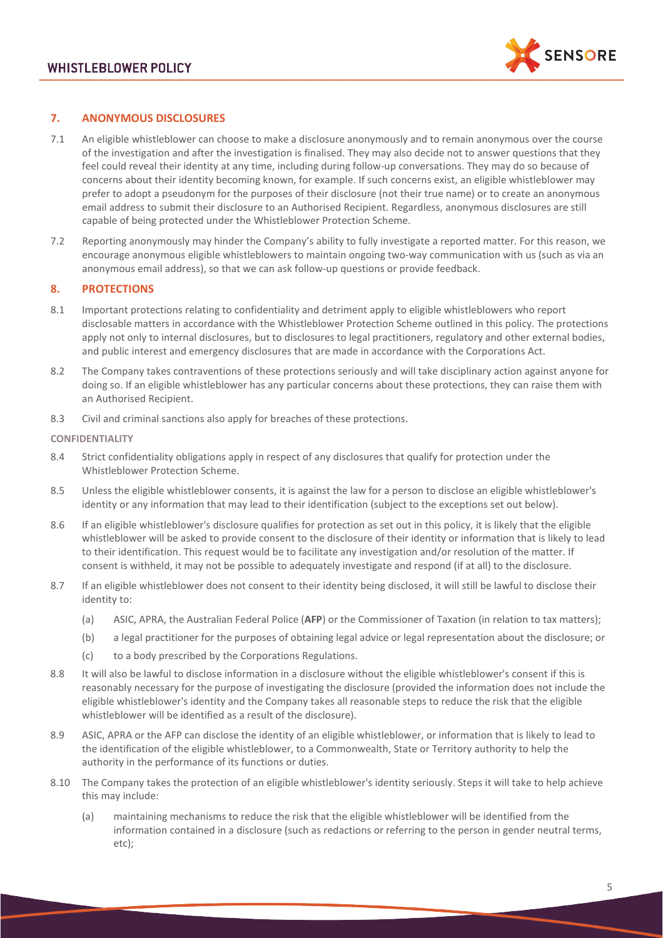

## **7. ANONYMOUS DISCLOSURES**

- 7.1 An eligible whistleblower can choose to make a disclosure anonymously and to remain anonymous over the course of the investigation and after the investigation is finalised. They may also decide not to answer questions that they feel could reveal their identity at any time, including during follow-up conversations. They may do so because of concerns about their identity becoming known, for example. If such concerns exist, an eligible whistleblower may prefer to adopt a pseudonym for the purposes of their disclosure (not their true name) or to create an anonymous email address to submit their disclosure to an Authorised Recipient. Regardless, anonymous disclosures are still capable of being protected under the Whistleblower Protection Scheme.
- 7.2 Reporting anonymously may hinder the Company's ability to fully investigate a reported matter. For this reason, we encourage anonymous eligible whistleblowers to maintain ongoing two-way communication with us (such as via an anonymous email address), so that we can ask follow-up questions or provide feedback.

## **8. PROTECTIONS**

- 8.1 Important protections relating to confidentiality and detriment apply to eligible whistleblowers who report disclosable matters in accordance with the Whistleblower Protection Scheme outlined in this policy. The protections apply not only to internal disclosures, but to disclosures to legal practitioners, regulatory and other external bodies, and public interest and emergency disclosures that are made in accordance with the Corporations Act.
- 8.2 The Company takes contraventions of these protections seriously and will take disciplinary action against anyone for doing so. If an eligible whistleblower has any particular concerns about these protections, they can raise them with an Authorised Recipient.
- 8.3 Civil and criminal sanctions also apply for breaches of these protections.

#### **CONFIDENTIALITY**

- 8.4 Strict confidentiality obligations apply in respect of any disclosures that qualify for protection under the Whistleblower Protection Scheme.
- 8.5 Unless the eligible whistleblower consents, it is against the law for a person to disclose an eligible whistleblower's identity or any information that may lead to their identification (subject to the exceptions set out below).
- 8.6 If an eligible whistleblower's disclosure qualifies for protection as set out in this policy, it is likely that the eligible whistleblower will be asked to provide consent to the disclosure of their identity or information that is likely to lead to their identification. This request would be to facilitate any investigation and/or resolution of the matter. If consent is withheld, it may not be possible to adequately investigate and respond (if at all) to the disclosure.
- 8.7 If an eligible whistleblower does not consent to their identity being disclosed, it will still be lawful to disclose their identity to:
	- (a) ASIC, APRA, the Australian Federal Police (**AFP**) or the Commissioner of Taxation (in relation to tax matters);
	- (b) a legal practitioner for the purposes of obtaining legal advice or legal representation about the disclosure; or
	- (c) to a body prescribed by the Corporations Regulations.
- 8.8 It will also be lawful to disclose information in a disclosure without the eligible whistleblower's consent if this is reasonably necessary for the purpose of investigating the disclosure (provided the information does not include the eligible whistleblower's identity and the Company takes all reasonable steps to reduce the risk that the eligible whistleblower will be identified as a result of the disclosure).
- 8.9 ASIC, APRA or the AFP can disclose the identity of an eligible whistleblower, or information that is likely to lead to the identification of the eligible whistleblower, to a Commonwealth, State or Territory authority to help the authority in the performance of its functions or duties.
- 8.10 The Company takes the protection of an eligible whistleblower's identity seriously. Steps it will take to help achieve this may include:
	- (a) maintaining mechanisms to reduce the risk that the eligible whistleblower will be identified from the information contained in a disclosure (such as redactions or referring to the person in gender neutral terms, etc);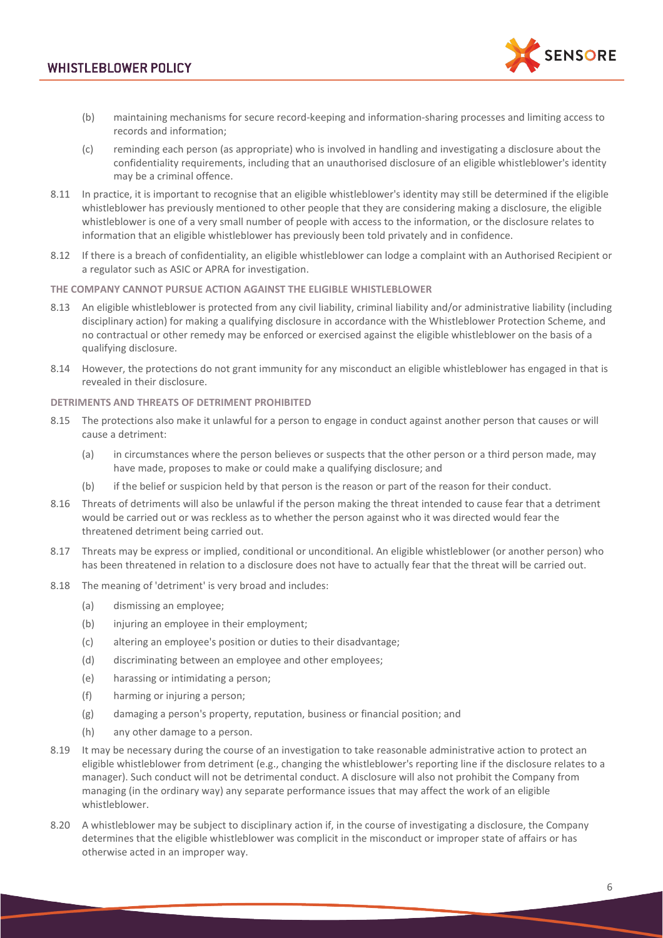

- (b) maintaining mechanisms for secure record-keeping and information-sharing processes and limiting access to records and information;
- (c) reminding each person (as appropriate) who is involved in handling and investigating a disclosure about the confidentiality requirements, including that an unauthorised disclosure of an eligible whistleblower's identity may be a criminal offence.
- 8.11 In practice, it is important to recognise that an eligible whistleblower's identity may still be determined if the eligible whistleblower has previously mentioned to other people that they are considering making a disclosure, the eligible whistleblower is one of a very small number of people with access to the information, or the disclosure relates to information that an eligible whistleblower has previously been told privately and in confidence.
- 8.12 If there is a breach of confidentiality, an eligible whistleblower can lodge a complaint with an Authorised Recipient or a regulator such as ASIC or APRA for investigation.

#### **THE COMPANY CANNOT PURSUE ACTION AGAINST THE ELIGIBLE WHISTLEBLOWER**

- 8.13 An eligible whistleblower is protected from any civil liability, criminal liability and/or administrative liability (including disciplinary action) for making a qualifying disclosure in accordance with the Whistleblower Protection Scheme, and no contractual or other remedy may be enforced or exercised against the eligible whistleblower on the basis of a qualifying disclosure.
- 8.14 However, the protections do not grant immunity for any misconduct an eligible whistleblower has engaged in that is revealed in their disclosure.

## **DETRIMENTS AND THREATS OF DETRIMENT PROHIBITED**

- <span id="page-5-0"></span>8.15 The protections also make it unlawful for a person to engage in conduct against another person that causes or will cause a detriment:
	- (a) in circumstances where the person believes or suspects that the other person or a third person made, may have made, proposes to make or could make a qualifying disclosure; and
	- (b) if the belief or suspicion held by that person is the reason or part of the reason for their conduct.
- 8.16 Threats of detriments will also be unlawful if the person making the threat intended to cause fear that a detriment would be carried out or was reckless as to whether the person against who it was directed would fear the threatened detriment being carried out.
- 8.17 Threats may be express or implied, conditional or unconditional. An eligible whistleblower (or another person) who has been threatened in relation to a disclosure does not have to actually fear that the threat will be carried out.
- 8.18 The meaning of 'detriment' is very broad and includes:
	- (a) dismissing an employee;
	- (b) injuring an employee in their employment;
	- (c) altering an employee's position or duties to their disadvantage;
	- (d) discriminating between an employee and other employees;
	- (e) harassing or intimidating a person;
	- (f) harming or injuring a person;
	- (g) damaging a person's property, reputation, business or financial position; and
	- (h) any other damage to a person.
- 8.19 It may be necessary during the course of an investigation to take reasonable administrative action to protect an eligible whistleblower from detriment (e.g., changing the whistleblower's reporting line if the disclosure relates to a manager). Such conduct will not be detrimental conduct. A disclosure will also not prohibit the Company from managing (in the ordinary way) any separate performance issues that may affect the work of an eligible whistleblower.
- 8.20 A whistleblower may be subject to disciplinary action if, in the course of investigating a disclosure, the Company determines that the eligible whistleblower was complicit in the misconduct or improper state of affairs or has otherwise acted in an improper way.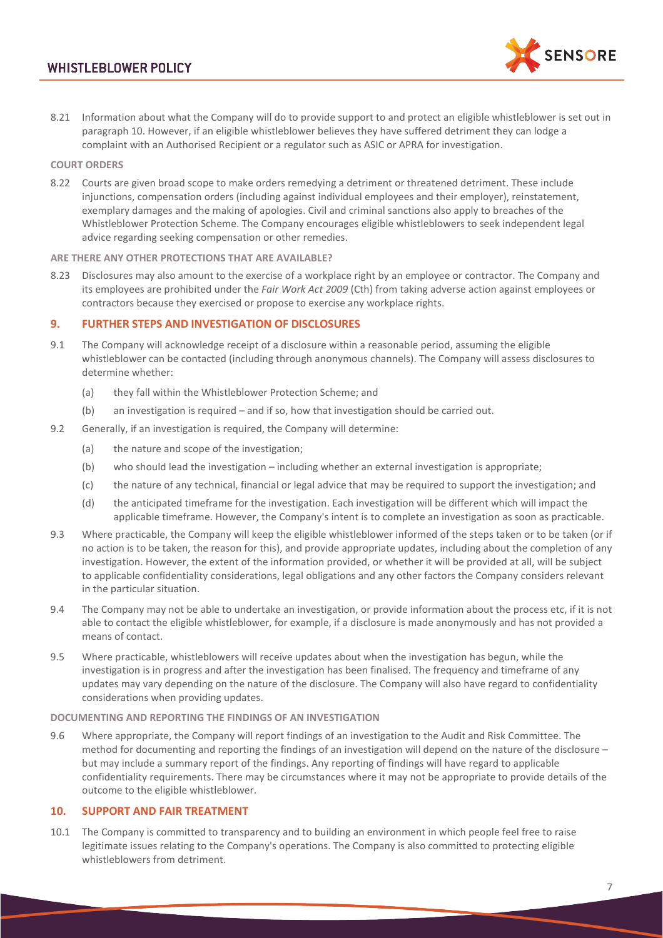

8.21 Information about what the Company will do to provide support to and protect an eligible whistleblower is set out in paragraph [10.](#page-6-0) However, if an eligible whistleblower believes they have suffered detriment they can lodge a complaint with an Authorised Recipient or a regulator such as ASIC or APRA for investigation.

## **COURT ORDERS**

8.22 Courts are given broad scope to make orders remedying a detriment or threatened detriment. These include injunctions, compensation orders (including against individual employees and their employer), reinstatement, exemplary damages and the making of apologies. Civil and criminal sanctions also apply to breaches of the Whistleblower Protection Scheme. The Company encourages eligible whistleblowers to seek independent legal advice regarding seeking compensation or other remedies.

#### **ARE THERE ANY OTHER PROTECTIONS THAT ARE AVAILABLE?**

8.23 Disclosures may also amount to the exercise of a workplace right by an employee or contractor. The Company and its employees are prohibited under the *Fair Work Act 2009* (Cth) from taking adverse action against employees or contractors because they exercised or propose to exercise any workplace rights.

## **9. FURTHER STEPS AND INVESTIGATION OF DISCLOSURES**

- 9.1 The Company will acknowledge receipt of a disclosure within a reasonable period, assuming the eligible whistleblower can be contacted (including through anonymous channels). The Company will assess disclosures to determine whether:
	- (a) they fall within the Whistleblower Protection Scheme; and
	- (b) an investigation is required and if so, how that investigation should be carried out.
- 9.2 Generally, if an investigation is required, the Company will determine:
	- (a) the nature and scope of the investigation;
	- (b) who should lead the investigation including whether an external investigation is appropriate;
	- (c) the nature of any technical, financial or legal advice that may be required to support the investigation; and
	- (d) the anticipated timeframe for the investigation. Each investigation will be different which will impact the applicable timeframe. However, the Company's intent is to complete an investigation as soon as practicable.
- 9.3 Where practicable, the Company will keep the eligible whistleblower informed of the steps taken or to be taken (or if no action is to be taken, the reason for this), and provide appropriate updates, including about the completion of any investigation. However, the extent of the information provided, or whether it will be provided at all, will be subject to applicable confidentiality considerations, legal obligations and any other factors the Company considers relevant in the particular situation.
- 9.4 The Company may not be able to undertake an investigation, or provide information about the process etc, if it is not able to contact the eligible whistleblower, for example, if a disclosure is made anonymously and has not provided a means of contact.
- 9.5 Where practicable, whistleblowers will receive updates about when the investigation has begun, while the investigation is in progress and after the investigation has been finalised. The frequency and timeframe of any updates may vary depending on the nature of the disclosure. The Company will also have regard to confidentiality considerations when providing updates.

### **DOCUMENTING AND REPORTING THE FINDINGS OF AN INVESTIGATION**

9.6 Where appropriate, the Company will report findings of an investigation to the Audit and Risk Committee. The method for documenting and reporting the findings of an investigation will depend on the nature of the disclosure – but may include a summary report of the findings. Any reporting of findings will have regard to applicable confidentiality requirements. There may be circumstances where it may not be appropriate to provide details of the outcome to the eligible whistleblower.

## <span id="page-6-0"></span>**10. SUPPORT AND FAIR TREATMENT**

10.1 The Company is committed to transparency and to building an environment in which people feel free to raise legitimate issues relating to the Company's operations. The Company is also committed to protecting eligible whistleblowers from detriment.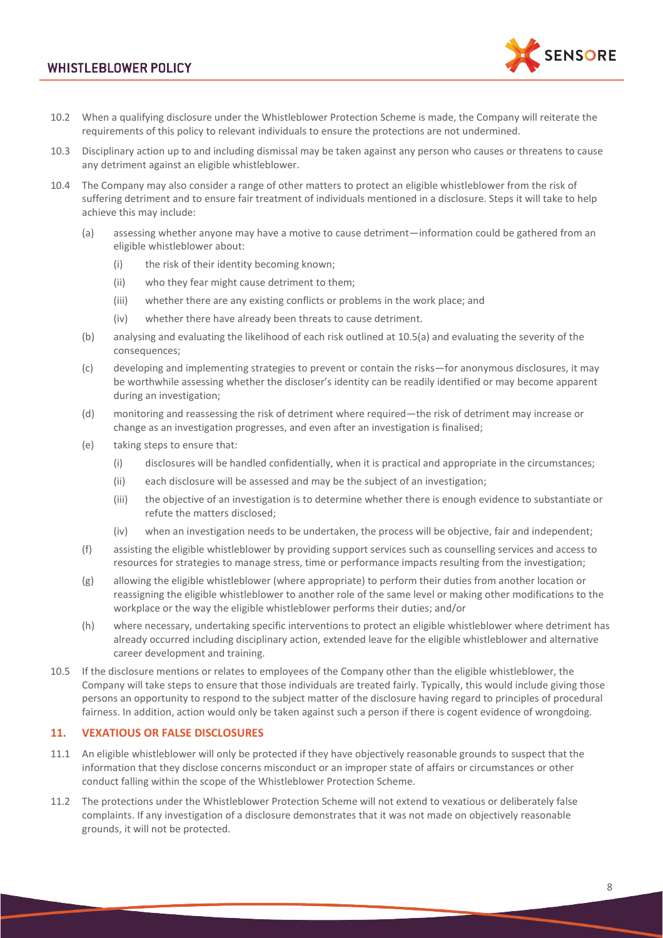# **WHISTLEBLOWER POLICY**



- 10.2 When a qualifying disclosure under the Whistleblower Protection Scheme is made, the Company will reiterate the requirements of this policy to relevant individuals to ensure the protections are not undermined.
- 10.3 Disciplinary action up to and including dismissal may be taken against any person who causes or threatens to cause any detriment against an eligible whistleblower.
- <span id="page-7-1"></span><span id="page-7-0"></span>10.4 The Company may also consider a range of other matters to protect an eligible whistleblower from the risk of suffering detriment and to ensure fair treatment of individuals mentioned in a disclosure. Steps it will take to help achieve this may include:
	- (a) assessing whether anyone may have a motive to cause detriment—information could be gathered from an eligible whistleblower about:
		- (i) the risk of their identity becoming known;
		- (ii) who they fear might cause detriment to them;
		- (iii) whether there are any existing conflicts or problems in the work place; and
		- (iv) whether there have already been threats to cause detriment.
	- (b) analysing and evaluating the likelihood of each risk outlined at [10.5](#page-7-0)[\(a\)](#page-7-1) and evaluating the severity of the consequences;
	- (c) developing and implementing strategies to prevent or contain the risks—for anonymous disclosures, it may be worthwhile assessing whether the discloser's identity can be readily identified or may become apparent during an investigation;
	- (d) monitoring and reassessing the risk of detriment where required—the risk of detriment may increase or change as an investigation progresses, and even after an investigation is finalised;
	- (e) taking steps to ensure that:
		- (i) disclosures will be handled confidentially, when it is practical and appropriate in the circumstances;
		- (ii) each disclosure will be assessed and may be the subject of an investigation;
		- (iii) the objective of an investigation is to determine whether there is enough evidence to substantiate or refute the matters disclosed;
		- (iv) when an investigation needs to be undertaken, the process will be objective, fair and independent;
	- (f) assisting the eligible whistleblower by providing support services such as counselling services and access to resources for strategies to manage stress, time or performance impacts resulting from the investigation;
	- (g) allowing the eligible whistleblower (where appropriate) to perform their duties from another location or reassigning the eligible whistleblower to another role of the same level or making other modifications to the workplace or the way the eligible whistleblower performs their duties; and/or
	- (h) where necessary, undertaking specific interventions to protect an eligible whistleblower where detriment has already occurred including disciplinary action, extended leave for the eligible whistleblower and alternative career development and training.
- 10.5 If the disclosure mentions or relates to employees of the Company other than the eligible whistleblower, the Company will take steps to ensure that those individuals are treated fairly. Typically, this would include giving those persons an opportunity to respond to the subject matter of the disclosure having regard to principles of procedural fairness. In addition, action would only be taken against such a person if there is cogent evidence of wrongdoing.

### **11. VEXATIOUS OR FALSE DISCLOSURES**

- 11.1 An eligible whistleblower will only be protected if they have objectively reasonable grounds to suspect that the information that they disclose concerns misconduct or an improper state of affairs or circumstances or other conduct falling within the scope of the Whistleblower Protection Scheme.
- 11.2 The protections under the Whistleblower Protection Scheme will not extend to vexatious or deliberately false complaints. If any investigation of a disclosure demonstrates that it was not made on objectively reasonable grounds, it will not be protected.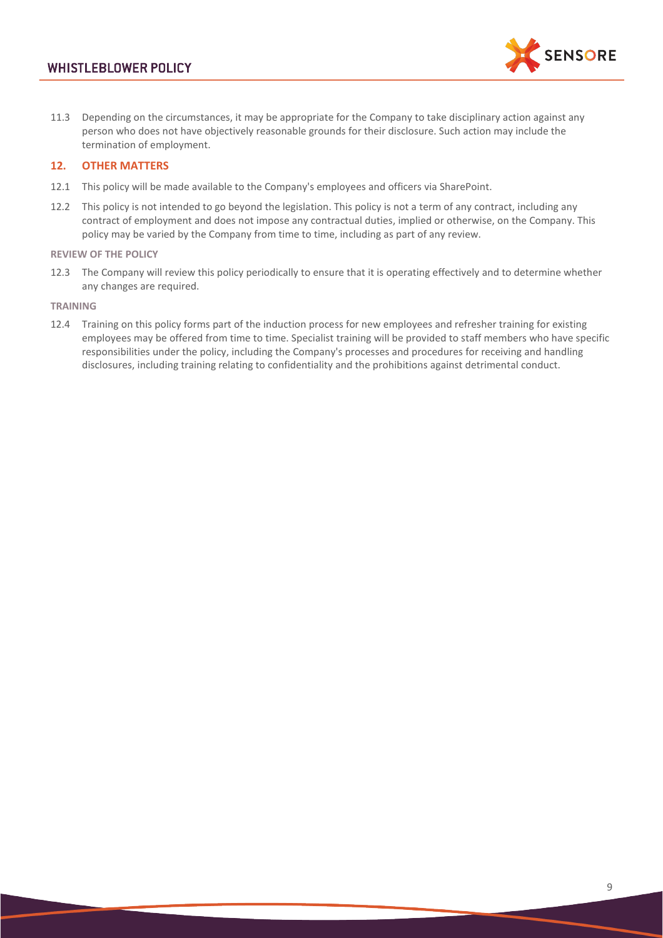

11.3 Depending on the circumstances, it may be appropriate for the Company to take disciplinary action against any person who does not have objectively reasonable grounds for their disclosure. Such action may include the termination of employment.

## **12. OTHER MATTERS**

- 12.1 This policy will be made available to the Company's employees and officers via SharePoint.
- 12.2 This policy is not intended to go beyond the legislation. This policy is not a term of any contract, including any contract of employment and does not impose any contractual duties, implied or otherwise, on the Company. This policy may be varied by the Company from time to time, including as part of any review.

#### **REVIEW OF THE POLICY**

12.3 The Company will review this policy periodically to ensure that it is operating effectively and to determine whether any changes are required.

#### **TRAINING**

12.4 Training on this policy forms part of the induction process for new employees and refresher training for existing employees may be offered from time to time. Specialist training will be provided to staff members who have specific responsibilities under the policy, including the Company's processes and procedures for receiving and handling disclosures, including training relating to confidentiality and the prohibitions against detrimental conduct.